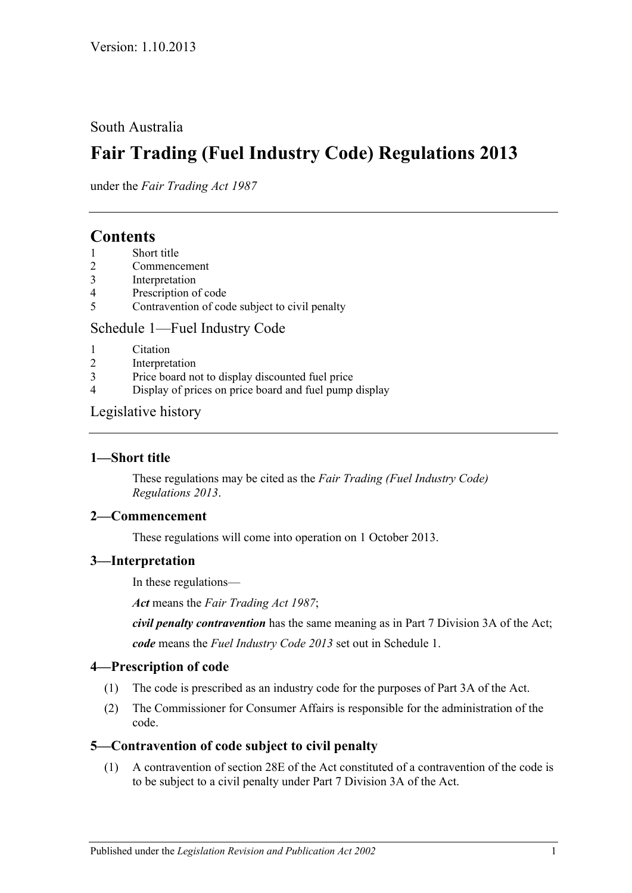## South Australia

# **Fair Trading (Fuel Industry Code) Regulations 2013**

under the *Fair Trading Act 1987*

# **Contents**

- 1 [Short title](#page-0-0)
- 2 [Commencement](#page-0-1)
- 3 [Interpretation](#page-0-2)
- 4 [Prescription of code](#page-0-3)
- 5 [Contravention of code subject to](#page-0-4) civil penalty

### Schedule [1—Fuel Industry Code](#page-1-0)

- 1 [Citation](#page-1-1)
- 2 [Interpretation](#page-1-2)
- 3 [Price board not to display discounted fuel price](#page-1-3)
- 4 [Display of prices on price board and fuel pump display](#page-1-4)

### [Legislative history](#page-3-0)

#### <span id="page-0-0"></span>**1—Short title**

These regulations may be cited as the *Fair Trading (Fuel Industry Code) Regulations 2013*.

#### <span id="page-0-1"></span>**2—Commencement**

These regulations will come into operation on 1 October 2013.

#### <span id="page-0-2"></span>**3—Interpretation**

In these regulations—

*Act* means the *[Fair Trading Act](http://www.legislation.sa.gov.au/index.aspx?action=legref&type=act&legtitle=Fair%20Trading%20Act%201987) 1987*;

*civil penalty contravention* has the same meaning as in Part 7 Division 3A of the Act; *code* means the *Fuel Industry Code 2013* set out in [Schedule](#page-1-0) 1.

### <span id="page-0-3"></span>**4—Prescription of code**

- (1) The code is prescribed as an industry code for the purposes of Part 3A of the Act.
- (2) The Commissioner for Consumer Affairs is responsible for the administration of the code.

### <span id="page-0-4"></span>**5—Contravention of code subject to civil penalty**

(1) A contravention of section 28E of the Act constituted of a contravention of the code is to be subject to a civil penalty under Part 7 Division 3A of the Act.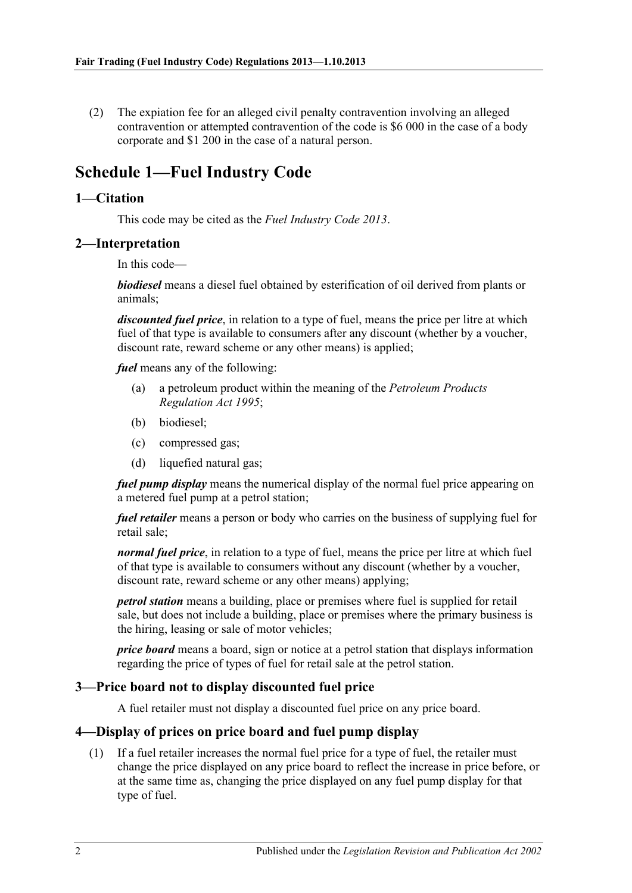(2) The expiation fee for an alleged civil penalty contravention involving an alleged contravention or attempted contravention of the code is \$6 000 in the case of a body corporate and \$1 200 in the case of a natural person.

# <span id="page-1-0"></span>**Schedule 1—Fuel Industry Code**

#### <span id="page-1-1"></span>**1—Citation**

This code may be cited as the *Fuel Industry Code 2013*.

#### <span id="page-1-2"></span>**2—Interpretation**

In this code—

*biodiesel* means a diesel fuel obtained by esterification of oil derived from plants or animals;

*discounted fuel price*, in relation to a type of fuel, means the price per litre at which fuel of that type is available to consumers after any discount (whether by a voucher, discount rate, reward scheme or any other means) is applied;

*fuel* means any of the following:

- (a) a petroleum product within the meaning of the *[Petroleum Products](http://www.legislation.sa.gov.au/index.aspx?action=legref&type=act&legtitle=Petroleum%20Products%20Regulation%20Act%201995)  [Regulation Act](http://www.legislation.sa.gov.au/index.aspx?action=legref&type=act&legtitle=Petroleum%20Products%20Regulation%20Act%201995) 1995*;
- (b) biodiesel;
- (c) compressed gas;
- (d) liquefied natural gas;

*fuel pump display* means the numerical display of the normal fuel price appearing on a metered fuel pump at a petrol station;

*fuel retailer* means a person or body who carries on the business of supplying fuel for retail sale;

*normal fuel price*, in relation to a type of fuel, means the price per litre at which fuel of that type is available to consumers without any discount (whether by a voucher, discount rate, reward scheme or any other means) applying;

*petrol station* means a building, place or premises where fuel is supplied for retail sale, but does not include a building, place or premises where the primary business is the hiring, leasing or sale of motor vehicles;

*price board* means a board, sign or notice at a petrol station that displays information regarding the price of types of fuel for retail sale at the petrol station.

#### <span id="page-1-3"></span>**3—Price board not to display discounted fuel price**

A fuel retailer must not display a discounted fuel price on any price board.

### <span id="page-1-4"></span>**4—Display of prices on price board and fuel pump display**

(1) If a fuel retailer increases the normal fuel price for a type of fuel, the retailer must change the price displayed on any price board to reflect the increase in price before, or at the same time as, changing the price displayed on any fuel pump display for that type of fuel.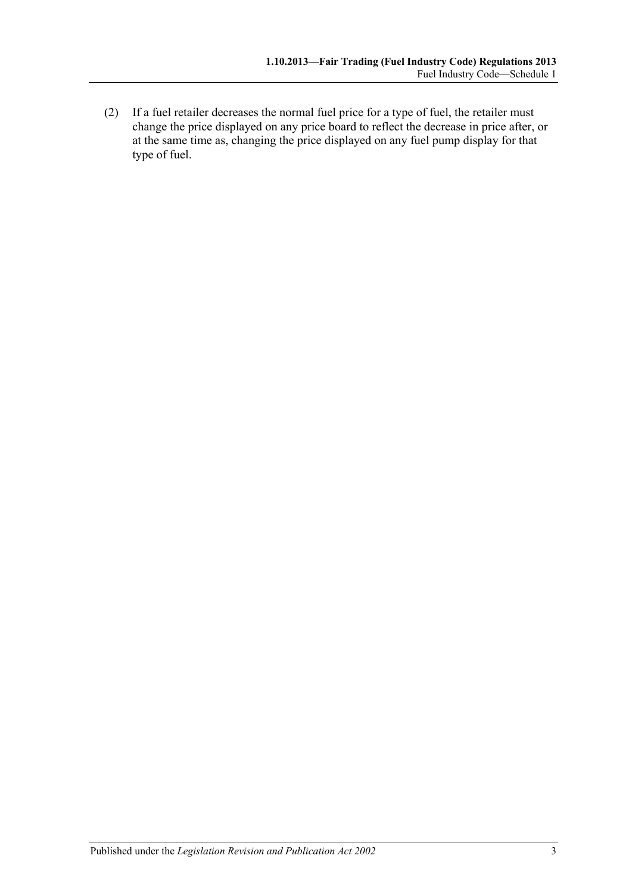(2) If a fuel retailer decreases the normal fuel price for a type of fuel, the retailer must change the price displayed on any price board to reflect the decrease in price after, or at the same time as, changing the price displayed on any fuel pump display for that type of fuel.